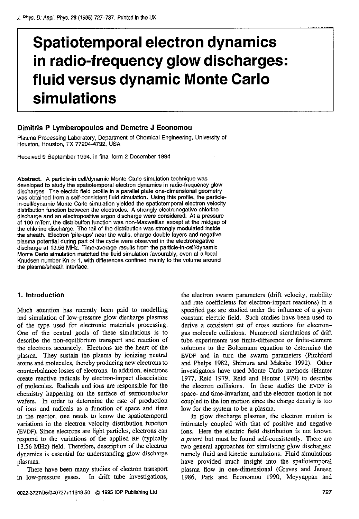# **Spatiotemporal electron dynamics in radio-frequency glow discharges: fluid versus dynamic Monte Carlo simulations**

# **Dimitris P Lymberopoulos and Demetre J Economou**

Plasma Processing Laboratory, Department of Chemical Engineering, University of Houston, Houston, **TX** 77204-4792, USA

Received 9 September 1994, in final form 2 December 1994

Abstract. **A** particle-in cellldynamic Monte Carto simulation technique was developed to study the spatiotemporal electron dynamics in radio-frequency glow discharges. The electric field profile in a parallel plate one-dimensional geometry<br>was obtained from a self-consistent fluid simulation. Using this profile, the particlein-cell/dynamic Monte Carlo simulation yielded the spatiotemporal electron velocity distribution function between the electrodes. A strongly electronegative chlorine<br>discharge and an electropositive argon discharge were considered. At a pressure of 100 mTorr, the distribution function was non-Maxwellian except at the midgap of the chlorine discharge. The tail of the distribution was strongly modulated inside the sheath. Electron 'pile-ups' near the walls, charge double layers and negative plasma potential during part of the cycle were observed in the electronegative discharge at 13.56 MHz. Time-average results from the particle-in-cell/dynamic Monte Carlo simulation matched the fluid simulation favourably, even at a local Knudsen number Kn  $\simeq$  1, with differences confined mainly to the volume around the plasma/sheath interface.

# **1. Introduction**

Much attention has recently been paid to modelling and simulation of low-pressure glow discharge plasmas of the type used for electronic materials processing. One of the central goals of these simulations is to describe the non-equilibrium transport and reaction of the electrons accurately. Electrons are the heart of the plasma. They sustain the plasma by ionizing neutral atoms and molecules, thereby producing new electrons to counterbalance losses **of** electrons. In addition, electrons create reactive radicals by electron-impact dissociation of molecules. Radicals and ions are responsible for the chemistry happening on the surface of semiconductor wafers. In order to determine the rate of production of ions and radicals **as** a function of space and time in the reactor, one needs to know the spatiotemporal variations in the electron velocity distribution function **(EVDF).** Since electrons are light particles, electrons can respond to the variations of the applied **RF** (typically 13.56 **MHz)** field. Therefore, description of the electron dynamics is essential for understanding glow discharge plasmas.

There have been many studies of electron transport in low-pressure gases. In drift tube investigations,

**0022-3727/95/040727+11519.50** *0* 1995 IOP Publishing Lid

 $\overline{\phantom{a}}$ 

the electron swarm parameters (drift velocity, mobility and rate coefficients **for** electron-impact reactions) in a specified gas are studied under the influence of a given constant electric field. Such studies have been used to derive a consistent set of cross sections for electrongas molecule collisions. Numerical simulations of drift tube experiments use finite-difference or finite-element solutions to the Boltzmann equation *to* determine the **EVDF** and in turn the swarm parameters (Pitchford and Phelps 1982, Shimura and Makabe 1992). Other investigators have used Monte Carlo methods (Hunter 1977, Reid 1979, Reid and Hunter 1979) to describe the electron collisions. In these studies the **EVDF** is space- and time-invariant, and the electron motion is not coupled to the ion motion since the charge density is too low for the system to be a plasma.

In glow discharge plasmas, the electron motion is intimately coupled with that of positive and negative ions. Here the electric field distribution is not known *a priori* but must be found self-consistently. There are two general approaches for simulating glow discharges; namely fluid and kinetic simulations. Fluid simulations have provided much insight into the spatiotemporal plasma flow in one-dimensional (Graves and Jensen 1986, Park and Economou 1990, Meyyappan and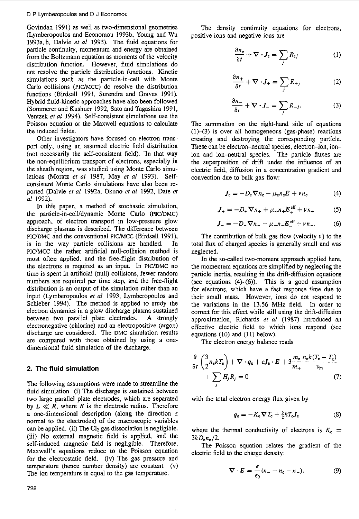Govindan 1991) as well as two-dimensional geometries (Lymberopoulos and Economou 1993b, Young and Wu 1993a,b, Dalvie *et af* 1993). The fluid equations for particle continuity, momentum and energy are obtained from the Boltzmann equation as moments of the velocity distribution function. However, fluid simulations do not resolve the particle distribution functions. Kinetic simulations such as the particle-in-cell with Monte Carlo collisions (PIC/MCC) do resolve the distribution functions (Birdsall 1991, Surendra and Graves 1991). Hybrid fluid-kinetic approaches have also been followed (Sommerer and Kushner 1992, Sat0 and Tagashira 1991, Ventzek *et al* 1994). Self-consistent simulations use the Poisson equation or the Maxwell equations to calculate the induced fields.

Other investigators have focused on electron transport only, using an assumed electric field distribution (not necessarily the self-consistent field). 'In that way the non-equilibrium transport of electrons, especially in the sheath region, was studied using Monte Carlo simulations (Moratz *et* ai 1987, May *et a1* 1993). Selfconsistent Monte Carlo simulations have also been reported (Dalvie *et al* 1992a, Okuno *et al* 1992, Date *et a1* 1992).

In this paper, a method of stochastic simulation, the particle-in-cell/dynamic Monte Carlo (PIC/DMC) approach, of electron transport in low-pressure glow discharge plasmas is described. The difference between PIC/DMC and the conventional PIC/MCC (Birdsall 1991), is in the way particle collisions are handled. In PIC/MCC the rather artificial null-collision method is most often applied, and the free-flight distribution of the electrons is required as an input. In PIC/DMC no time is spent in artificial (null) collisions, fewer random numbers are required per time step, and the free-Right distribution is an output of the simulation rather than an input (Lymberopoulos *et a1* 1993, Lymberopoulos and Schieber 1994). The method is applied to study the electron dynamics in a glow discharge plasma sustained between two parallel plate electrodes. **A** strongly electronegative (chlorine) and an electropositive (argon) discharge are considered. The DMC simulation results are compared with those obtained by using a onedimensional fluid simulation of the discharge.

## **2. The fluid simulation**

The following assumptions were made to streamline the fluid simulation. (i) The discharge is sustained between two large parallel plate electrodes, which are separated by  $L \ll R$ , where *R* is the electrode radius. Therefore a one-dimensional description (along the direction *z*  normal to the electrodes) of the macroscopic variables can be applied. (ii) The  $Cl<sub>2</sub>$  gas dissociation is negligible. (iii) No external magnetic field is applied, and the self-induced magnetic field is negligible. Therefore, Maxwell's equations reduce to the Poisson equation for the electrostatic field. (iv) The gas pressure and temperature (hence number density) are constant. (v) The ion temperature is equal to the gas temperature.

The density continuity equations for electrons, positive ions and negative ions are

$$
\frac{\partial n_e}{\partial t} + \nabla \cdot J_e = \sum_j R_{ej} \tag{1}
$$

$$
\frac{\partial n_+}{\partial t} + \nabla \cdot J_+ = \sum_i R_{+j} \tag{2}
$$

$$
\frac{\partial n_+}{\partial t} + \nabla \cdot J_+ = \sum_j R_{+j} \tag{2}
$$

$$
\frac{\partial n_-}{\partial t} + \nabla \cdot J_- = \sum_j R_{-j}. \tag{3}
$$

The summation on the right-hand side of equations  $(1)$ – $(3)$  is over all homogeneous (gas-phase) reactions creating and destroying the corresponding particle. These can be electron-neutral species, electron-ion, ionion and ion-neutral species. The particle fluxes are the superposition of driff under the influence of an electric field, diffusion in a concentration gradient and convection due to bulk gas flow:

$$
J_{\rm e} = -D_{\rm e} \nabla n_{\rm e} - \mu_{\rm e} n_{\rm e} E + v n_{\rm e} \tag{4}
$$

$$
J_{+} = -D_{+}\nabla n_{+} + \mu_{+}n_{+}E_{+}^{\text{eff}} + \nu n_{+} \tag{5}
$$

$$
J_{-} = -D_{-}\nabla n_{-} - \mu_{-}n_{-}E_{-}^{\text{eff}} + \nu n_{-}.
$$
 (6)

The contribution of bulk gas flow (velocity  $\nu$ ) to the total flux of charged species is generally small and was neglected.

In the so-called two-moment approach applied here, the momentum equations are simplified by neglecting the particle inertia, resulting in the drift-diffusion equations (see equations  $(4)$ - $(6)$ ). This is a good assumption for electrons, which have a fast response time due to their small mass. However, ions do not respond to the variations in the 13.56 **MHz** field. In order to correct for this effect while still using the drift-diffusion approximation, Richards *et a/* (1987) introduced an effective electric field to which ions respond (see equations (10) and (11) below).

The electron energy balance reads

$$
\frac{\partial}{\partial t} \left( \frac{3}{2} n_e k T_e \right) + \nabla \cdot q_e + e J_e \cdot E + 3 \frac{m_e}{m_+} \frac{n_e k (T_e - T_g)}{\nu_m} + \sum_j H_j R_j = 0 \tag{7}
$$

with the total electron energy flux given by

$$
q_{\rm e} = -K_{\rm e}\nabla T_{\rm e} + \frac{5}{2}kT_{\rm e}J_{\rm e}
$$
 (8)

where the thermal conductivity of electrons is  $K_c$  = *3kDen,/2.* 

The Poisson equation relates the gradient of the electric field to the charge density:

$$
\nabla \cdot E = \frac{e}{\epsilon_0} (n_+ - n_{\rm e} - n_-). \tag{9}
$$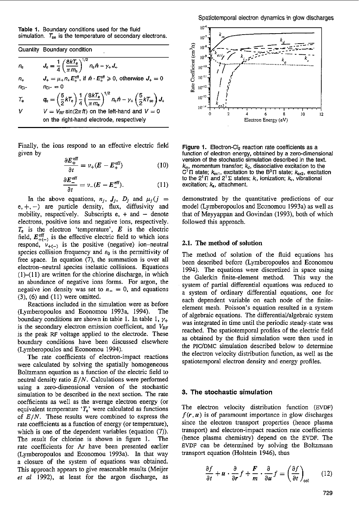**Table I.** Boundary conditions used for the fluid simulation.  $T_{se}$  is the temperature of secondary electrons.

Quantity Boundary condition

$$
n_{\rm e} \qquad \qquad J_{\rm e} = \frac{1}{4} \left( \frac{8kT_{\rm e}}{\pi m_{\rm e}} \right)^{1/2} n_{\rm e} \hat{n} - \gamma_+ J_+
$$

 $n_{+}$  $n_{\text{Ci}} - n_{\text{Ci}} = 0$  $\mu_+ \mu_+ E_+^{\text{eff}}, \text{ if } \hat{\boldsymbol{n}} \cdot \boldsymbol{E}_+^{\text{eff}} \geqslant 0, \text{ otherwise } J_+ = 0.$ 

$$
T_{\rm e} \tqquad q_{\rm e} = \left(\frac{5}{2}kT_{\rm e}\right)\frac{1}{4}\left(\frac{8kT_{\rm e}}{\pi m_{\rm e}}\right)^{1/2}n_{\rm e}\hat{n} - \gamma_{+}\left(\frac{5}{2}kT_{\rm se}\right),
$$
  

$$
V = V_{\rm BF}\sin(2\pi ft) \text{ on the left-hand and } V = 0
$$

on the right-hand electrode, respectively

Finally, the ions respond to an effective electric field given by

$$
\frac{\partial E_{+}^{\text{en}}}{\partial t} = \nu_{+}(E - E_{+}^{\text{eff}})
$$
 (10)

 $J_{\scriptscriptstyle +}$ 

$$
\frac{\partial t}{\partial t} = \nu_{+} (E - E_{-}^{\text{eff}}). \tag{11}
$$

In the above equations,  $n_j$ ,  $J_j$ ,  $D_j$  and  $\mu_j(j)$  $e, +, -$ ) are particle density, flux, diffusivity and mobility, respectively. Subscripts  $e$ ,  $+$  and  $-$  denote electrons, positive ions and negative ions, respectively.  $T_e$  is the electron 'temperature',  $E$  is the electric field,  $E_{+(-)}^{\text{eff}}$  is the effective electric field to which ions respond, **U+(-)** is the positive (negative) ion-neutral species collision frequency and  $\varepsilon_0$  is the permittivity of free space. In equation (7). the summation is over all electron-neutral species inelastic collisions. Equations  $(1)$ - $(1)$  are written for the chlorine discharge, in which an abundance of negative ions forms. For argon, the negative ion density was set to  $n = 0$ , and equations **(3),** (6) and (1 1) were omitted.

Reactions included in the simulation were as before (Lymberopoulos and Economou 1993a, 1994). The boundary conditions are shown in table 1. In table 1,  $\gamma_+$ is the secondary electron emission coefficient, and  $V_{RF}$ is the peak RF voltage applied to the electrode. These boundary conditions have been discussed elsewhere (Lymberopoulos and Economou 1994).

The rate coefficients of electron-impact reactions were calculated by solving the spatially homogeneous Boltzmann equation as a function of the electric field to neutral density ratio *E/N.* Calculations were performed using a zero-dimensional version of the stochastic simulation to be described in the next section. The rate coefficients as well as the average electron energy (or equivalent temperature  $T_e$ <sup>'</sup> were calculated as functions of *E/N.* These results were combined to express the rate coefficients as a function of energy (or temperature), which is one of the dependent variables (equation  $(7)$ ). The result **for** chlorine **is** shown in figure **1.** The rate coefficients for **Ar** have been presented earlier (Lymberopoulos and Economou 1993a). In that way a closure *of* the system of equations was obtained. This approach appears **to** give reasonable results (Meijer *et* al 1992). at least for the argon discharge, as



Figure **1.** Electron-C12 reaction rate coefficients as a function of electron energy, obtained by a zero-dimensional version **of** the stochastic simulation described in the text.  $k_{\rm m}$ , momentum transfer;  $k_{\rm d}$ , dissociative excitation to the C<sup>T</sup> $\Pi$  state;  $k_{\text{ex1}}$ , excitation to the B<sup>3</sup> $\Pi$  state;  $k_{\text{ex2}}$ , excitation to the  $2^{\dagger} \Pi$  and  $2^{\dagger} \Sigma$  states;  $k_i$ , ionization;  $k_i$ , vibrational excitation;  $k_a$ , attachment.

demonstrated by the quantitative predictions of our model (Lymberopoulos and Economou 1993a) as well as that of Meyyappan and Govindan (1993), both of which followed this approach.

### **2.1. The method of solution**

The method of solution of the fluid equations has been described before (Lymberopoulos and Economou 1994). The equations were discretized in space using the Galerkin finite-element method. This way the system of partial differential equations was reduced *to*  a system of ordinary differential equations, one for each dependent variable on each node of the finiteelement mesh. Poisson's equation resulted in a system of algebraic equations. The differentiaValgebraic system was integrated in time until the periodic steady-state was reached. The spatiotemporal profiles of the electric field as obtained by the fluid simulation were then used in the PIC/DMC simulation described below to determine the electron velocity distribution function, as well as the spatiotemporal electron density and energy profiles.

### **3. The** stochastic simulation

The electron velocity distribution function (EVDF)  $f(r, u)$  is of paramount importance in glow discharges since the electron transport properties (hence plasma transport) and electron-impact reaction rate coefficients (hence plasma chemistry) depend on the EVDF. The EVDF can be determined by solving the Boltzmann transport equation (Holstein 1946). thus

$$
\frac{\partial f}{\partial t} + \boldsymbol{u} \cdot \frac{\partial}{\partial r} f + \frac{\boldsymbol{F}}{m} \cdot \frac{\partial}{\partial u} f = \left(\frac{\partial f}{\partial t}\right)_{\text{col}} \tag{12}
$$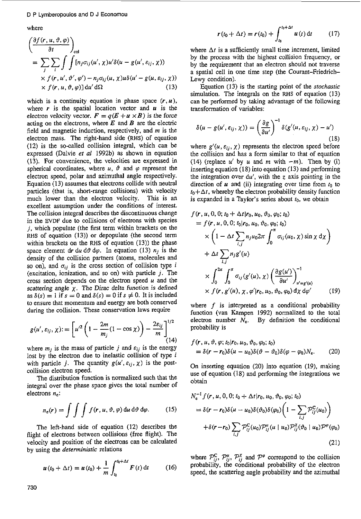where

$$
\begin{aligned}\n&\left(\frac{\partial f(r, u, \vartheta, \varphi)}{\partial t}\right)_{\text{col}} \\
&= \sum_{j} \sum_{i} \int \int \left[ n_{j} \sigma_{ij}(u', \chi) u' \delta(u - g(u', \varepsilon_{ij}, \chi)) \right. \\
&\times f(r, u', \vartheta', \varphi') - n_{j} \sigma_{ij}(u, \chi) u \delta(u' - g(u, \varepsilon_{ij}, \chi)) \\
&\times f(r, u, \vartheta, \varphi)] \, \mathrm{d}u' \, \mathrm{d}\Omega\n\end{aligned}
$$

which is a continuity equation in phase space  $(r, u)$ , where  $r$  is the spatial location vector and  $u$  is the electron velocity vector.  $F = q(E + u \times B)$  is the force acting on the electrons, where *E* and *B* are the electric field and magnetic induction, respectively, and *m* is the electron mass. The right-hand side **(RHS)** of equation (12) is the so-called collision integral, which can be expressed (Dalvie *et al* 1992b) as shown in equation (13). For convenience, the velocities are expressed in spherical coordinates, where  $u$ ,  $\vartheta$  and  $\varphi$  represent the electron speed, polar and azimuthal angle respectively. Equation (13) assumes that electrons collide with neutral particles (that is, short-range collisions) with velocity much lower than the electron velocity. This is an much lower than the electron velocity. excellent assumption under the conditions of interest. The collision integral describes the discontinuous change in the **EVDF** due to collisions of electrons with species *j,* which populate (the first term within brackets on the **RHS** of equation (13)) or depopulate (the second term within brackets on the **RHS** of equation (13)) the phase space element  $dr du d\theta d\varphi$ . In equation (13)  $n_j$  is the density of the collision partners (atoms, molecules and so on), and  $\sigma_{ii}$  is the cross section of collision type *i* (excitation, ionization, and so on) with particle *j.* The cross section depends on the electron speed  $u$  and the scattering angle  $\chi$ . The Dirac delta function is defined as  $\delta(s) = 1$  if  $s = 0$  and  $\delta(s) = 0$  if  $s \neq 0$ . It is included to ensure that momentum and energy are both conserved during the collision. These conservation laws require

$$
g(u', \varepsilon_{ij}, \chi) := \left[ u'^2 \left( 1 - \frac{2m}{m_j} (1 - \cos \chi) \right) - \frac{2\varepsilon_{ij}}{m} \right]^{1/2} (14)
$$

where  $m_j$  is the mass of particle j and  $\varepsilon_{ij}$  is the energy lost by the electron due to inelastic collision of type *i* with particle *j*. The quantity  $g(u', \varepsilon_{ij}, \chi)$  is the postcollision electron speed.

The distribution function is normalized such that the integral over the phase space gives the total number **of**  electrons *ne:* 

$$
n_{e}(\mathbf{r}) = \int \int \int f(\mathbf{r}, u, \vartheta, \varphi) \, \mathrm{d}u \, \mathrm{d}\vartheta \, \mathrm{d}\varphi. \tag{15}
$$

The left-hand side of equation (12) describes the flight **of** electrons between collisions (free flight). The velocity and position of the electrons can be calculated by using the *deterministic* relations

$$
u(t_0 + \Delta t) = u(t_0) + \frac{1}{m} \int_{t_0}^{t_0 + \Delta t} F(t) dt \qquad (16)
$$

$$
r(t_0 + \Delta t) = r(t_0) + \int_{t_0}^{t_0 + \Delta t} u(t) dt
$$
 (17)

where  $\Delta t$  is a sufficiently small time increment, limited by the process with the highest collision frequency, or by the requirement that an electron should not traverse a spatial cell in one time step (the Courant-Friedrich-Lewy condition).

Equation (13) **is** the starting point of the *stochastic*  simulation. The integrals on the RHS of equation (13) can be performed by taking advantage of the following transformation of variables:

$$
\delta(u - g(u', \varepsilon_{ij}, \chi)) = \left(\frac{\partial g}{\partial u'}\right)^{-1} \delta(g'(u, \varepsilon_{ij}, \chi) - u')
$$
\n(18)

where  $g'(u, \varepsilon_{ij}, \chi)$  represents the electron speed before the collision and has a form similar to that of equation (14) (replace  $u'$  by  $u$  and  $m$  with  $-m$ ). Then by (i) inserting equation **(IS)** into equation (13) and performing the integration over  $du'$ , with the z axis pointing in the direction of  $u$  and (ii) integrating over time from  $t_0$  to  $t_0 + \Delta t$ , whereby the electron probability density function is expanded in a Taylor's series about *to,* we obtain

$$
f(\mathbf{r}, u, 0, 0; t_0 + \Delta t | \mathbf{r}_0, u_0, \vartheta_0, \varphi_0; t_0)
$$
  
=  $f(\mathbf{r}, u, 0, 0; t_0 | \mathbf{r}_0, u_0, \vartheta_0, \varphi_0; t_0)$   

$$
\times \left(1 - \Delta t \sum_{i,j} n_j u_0 2\pi \int_0^{\pi} \sigma_{ij}(u_0, \chi) \sin \chi \, d\chi\right)
$$
  
+ 
$$
\Delta t \sum_{i,j} n_j g'(u)
$$
  

$$
\times \int_0^{2\pi} \int_0^{\pi} \sigma_{ij}(g'(u), \chi) \left(\frac{\partial g(u')}{\partial u'}\right)_{u' = g'(u)}^{-1}
$$
  

$$
\times f(\mathbf{r}, g'(u), \chi, \varphi' | \mathbf{r}_0, u_0, \vartheta_0, \varphi_0) d\chi d\varphi'
$$
 (19)

where f is interpreted as a conditional probability function (van Kampen 1992) normalized to the total electron number  $N_e$ . By definition the conditional probability is

$$
f(\mathbf{r}, u, \vartheta, \varphi; t_0 | \mathbf{r}_0, u_0, \vartheta_0, \varphi_0; t_0)
$$
  
=  $\delta(\mathbf{r} - \mathbf{r}_0) \delta(u - u_0) \delta(\vartheta - \vartheta_0) \delta(\varphi - \varphi_0) N_e.$  (20)

On inserting equation (20) into equation (19). making use of equation (18) and performing the integrations we obtain

$$
N_e^{-1} f(r, u, 0, 0; t_0 + \Delta t | r_0, u_0, \vartheta_0, \varphi_0; t_0)
$$
  
=  $\delta(r - r_0) \delta(u - u_0) \delta(\vartheta_0) \delta(\varphi_0) \left(1 - \sum_{i,j} \mathcal{P}_{ij}^C(u_0)\right)$   
+  $\delta(r - r_0) \sum_{i,j} \mathcal{P}_{ij}^C(u_0) \mathcal{P}_{ij}^u(u \mid u_0) \mathcal{P}_{ij}^X(\vartheta_0 \mid u_0) \mathcal{P}^{\varphi}(\varphi_0)$   
(21)

where  $P_{ij}^{\rm C}$ ,  $P_{ij}^{\mu}$ ,  $P_{ij}^{\chi}$  and  $P^{\varphi}$  correspond to the collision probability, the conditional probability of the electron speed, the scattering angle probability and the azimuthal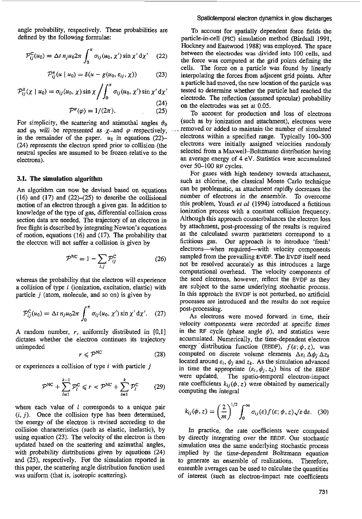angle probability, respectively. These probabilities are defined by the following formulae:

$$
\mathcal{P}_{ij}^C(u_0) = \Delta t \, n_j u_0 2\pi \int_0^{\pi} \sigma_{ij}(u_0, \chi') \sin \chi' d\chi' \quad (22)
$$

$$
\mathcal{P}_{ij}^{u}(u \mid u_0) = \delta(u - g(u_0, \varepsilon_{ij}, \chi)) \tag{23}
$$

$$
\mathcal{P}_{ij}^{\chi}(\chi \mid u_0) = \sigma_{ij}(u_0, \chi) \sin \chi \left/ \int_0^{\pi} \sigma_{ij}(u_0, \chi') \sin \chi' d\chi' \right. \tag{24}
$$

$$
\mathcal{P}^{\varphi}(\varphi) = 1/(2\pi). \tag{25}
$$

For simplicity, the scattering and azimuthal angles  $\vartheta_0$ and  $\varphi_0$  will be represented as  $-x$ -and  $\varphi$  -respectively, in the remainder of the paper.  $u_0$  in equations  $(22)$ -(24) represents the electron speed prior to collision (the neutral species are assumed to be frozen relative to the electrons).

#### **3.1. The** simulation **algorithm**

*An* algorithm can now be devised based on equations (16) and (17) and *(22)-(25)* to describe the collisional motion of an electron through a given gas. In addition to knowledge of the type of gas, differential collision cross section data are needed. The trajectory of an electron in free flight is described by integrating Newton's equations of motion, equations (16) and (17). The probability that the electron will not suffer a collision is given by

$$
\mathcal{P}^{\rm NC} = 1 - \sum_{i,j} \mathcal{P}_{ij}^{\rm C} \tag{26}
$$

whereas the probability that the electron will experience a collision **of** type i (ionization, excitation, elastic) with particle *j* (atom, molecule, and so on) is given by

$$
\mathcal{P}_{ij}^C(u_0) = \Delta t \, n_j u_0 2\pi \int_0^\pi \sigma_{ij}(u_0, \chi') \sin \chi' d\chi'. \quad (27)
$$

A random number, *r,* uniformly distributed in [0,1] dictates whether the electron continues its trajectory unimpeded

$$
r \leqslant \mathcal{P}^{\text{NC}} \tag{28}
$$

or experiences a collision of type *i* with particle *j* 

$$
\mathcal{P}^{NC} + \sum_{l=1}^{k-1} \mathcal{P}_l^C \leq r < \mathcal{P}^{NC} + \sum_{l=1}^{k} \mathcal{P}_l^C \tag{29}
$$

where each value of *I* corresponds to a unique pair  $(i, j)$ . Once the collision type has been determined, the energy of the electron is revised according to the collision characteristics (such as elastic, inelastic), by using equation *(23).* The velocity of the electron is then updated based on the scattering and azimuthal angles, with probability distributions given by equations *(24)*  and *(25).* respectively. **For** the simulation reported in this paper, the scattering angle distribution function used was uniform (that is, isotropic scattering).

#### Spatiotemporal **electron** dynamics in **glow discharges**

To account for spatially dependent force fields the particle-in-cell **(PIC)** simulation method (Birdsall 1991, Hockney and Eastwood 1988) was employed. The space between the electrodes was divided **into** 100 cells, and the force was computed at the grid points defining the cells. The force on a particle was found by linearly interpolating the forces from adjacent grid points. After a particle had moved, the new location *of* the particle was tested to determine whether the particle had reached the electrode. The reflection (assumed specular) probability on the electrodes was set at 0.05.

To account for production and loss of electrons (such as by ionization and attachment), electrons were . removed or added to~maintain-the number of simulated electrons within a specified range. Typically *10C-300*  electrons were initially assigned velocities randomly selected from a Maxwell-Boltzmann distribution having an average energy of *4* eV. Statistics were accumulated over 50-100 RF cycles.

For gases with high tendency towards attachment, such as chlorine, the classical Monte Carlo technique can be problematic, as attachment rapidly decreases the number of electrons in the ensemble. To overcome this problem, Yousfi *et al* (1994) introduced a fictitious ionization process with a constant collision frequency. Although this approach counterbalances the electron loss by attachment, post-processing of the results is required as the calculated swarm parameters correspond to a fictitious gas. Our approach is to introduce 'fresh' electrons-when required-with velocity components sampled from the prevailing EVDF. The EVDF itself need not be resolved accurately as *this* introduces a large computational overhead. The velocity components of the seed electrons, however, reflect the EVDF as they are subject to the same underlying stochastic process. In this approach the EVDF is not perturbed, no artificial processes are introduced and the results do not require post-processing.

As electrons were moved forward in time, their velocity components were recorded at specific times in the RF cycle (phase angle  $\phi$ ), and statistics were accumulated. Numerically, the time-dependent electron energy distribution function (EEDF),  $f(\varepsilon; \phi, z)$ , was computed on discrete volume elements  $\Delta \varepsilon_i \, \Delta \phi_i \, \Delta z_k$ located around  $\varepsilon_i$ ,  $\phi_j$  and  $z_k$ . As the simulation advanced in time the appropriate  $(\varepsilon_i, \phi_j, z_k)$  bins of the EEDF were updated. The spatio-temporal electron-impact rate coefficients  $k_{ij}(\phi, z)$  were obtained by numerically computing the integral

$$
k_{ij}(\phi, z) = \left(\frac{2}{m}\right)^{1/2} \int_0^\infty \sigma_{ij}(\varepsilon) f(\varepsilon; \phi, z) \sqrt{\varepsilon} \, \mathrm{d}\varepsilon. \tag{30}
$$

In practice, the rate coefficients were computed by directly integrating over the EEDF. **Our** stochastic simulation uses the same underlying stochastic process implied by the time-dependent Boltzmann equation to generate an ensembIe of realizations. Therefore, ensemble averages can be used to calculate the quantities of interest (such as electron-impact rate coefficients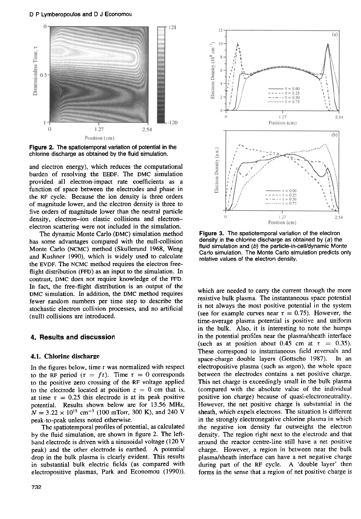D **P** Lymberopoulos and D J Economou



Figure **2.** The spatiotemporal variation **of** potential in the chlorine discharge as obtained by the fluid simulation.

and electron energy), which reduces the computational burden of resolving the **EEDF.** The **DMC** simulation provided all electron-impact rate coefficients as a function of space between the electrodes and phase in the RF cycle. Because the ion density is three orders of magnitude lower, and the electron density is three to five orders of magnitude lower than the neutral particle density, electron-ion elastic collisions and electronelectron scattering were not included in the simulation.

The dynamic Monte Carlo **(DMC)** simulation method has some advantages compared with the null-collision Monte Carlo **(NCMC)** method (Skullerund **1968,** Weng and Kushner **1990),** which is widely used to calculate the **EVDF.** The **NCMC** method requires the electron freeflight distribution **(FFD)** as an input to the simulation. In contrast, **DMC** does not require knowledge of the **FFD.**  In fact, the free-flight distribution is **an** output of the **DMC** simulation. In addition, the **DMC** method requires fewer random numbers per time step to describe the stochastic electron collision processes, and no artificial (null) collisions are introduced.

## **4. Results and discussion**

## **4.1. Chlorine discharge**

In the figures below, time *f* was normalized with respect to the RF period  $(\tau = ft)$ . Time  $\tau = 0$  corresponds to the positive zero crossing of the **RF** voltage applied to the electrode located at position  $z = 0$  cm that is, at time  $\tau = 0.25$  this electrode is at its peak positive potential. Results shown below are for **13.56 MHz,**   $N = 3.22 \times 10^{15}$  cm<sup>-3</sup> (100 mTorr, 300 K), and 240 V peak-to-peak unless noted otherwise.

The spatiotemporal profiles of potential, as calculated by the fluid simulation, are shown in figure **2.** The lefthand electrode is driven with a sinusoidal voltage **(120 V**  peak) and the other electrode is earthed. **A** potential drop in the bulk plasma is clearly evident. This results in substantial bulk electric fields (as compared with electropositive plasmas, Park and Economou **(1990)),** 



Figure **3.** The spatiotemporal variation of the electron density in the chlorine discharge as obtained by *(a)* the fluid simulation and (b) the particle-in-cell/dynamic Monte Carlo simulation. The Monte Carlo simulation predicts only relative values of the electron density.

which are needed to carry the current through the more resistive bulk plasma. The instantaneous space potential is not always the most positive potential in the system (see for example curves near  $\tau = 0.75$ ). However, the time-average plasma potential is positive and uniform in the bulk. **Also,** it is interesting to note the humps in the potential profiles near the plasma/sheath interface (such as at position about  $0.45$  cm at  $\tau = 0.35$ ). These correspond to instantaneous field reversals and space-charge double layers (Gottscbo 1987). In an electropositive plasma (such **as** argon), the whole space between the electrodes contains a net positive charge. This net charge is exceedingly small in the bulk plasma (compared with the ahsolute value of the individual positive ion charge) because of **quasi-electroneutrality.**  However, the net positive charge is substantial in the sheath, which expels electrons. The situation is different in the strongly electronegative chlorine plasma in which the negative ion density far outweighs the electron density. The region right next to the electrode and that around the reactor centre-line still have a net positive charge. However, a region in between near the bulk plasmdsheath interface can have a net negative charge during part of the RF cycle. **A** 'double layer' then forms in the sense that a region of net positive charge is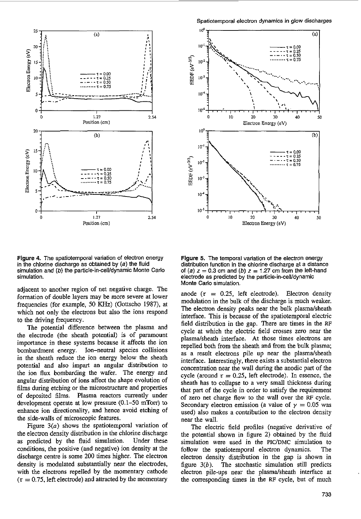

Figure **4.** The spatiotemporal variation of electron energy in the chlorine discharge as obtained by  $(a)$  the fluid simulation and (b) the particle-in-cell/dynamic Monte Carlo simulation.

adjacent *to* another region **of** net negative charge. The formation of double layers may be more severe at lower frequencies (for example, 50 **KHz)** (Gottscho **1987),** at which not only the electrons but also the ions respond to the driving frequency.

The potential difference between the plasma and the electrode (the sheath potential) is of paramount importance in these systems because it affects the ion bombardment energy. Ion-neutral species collisions in the sheath reduce the ion energy below the sheath potential and also impart an angular distribution to the ion **flux** bombarding the wafer. The energy and angular distribution of ions affect the shape evolution of films during etching or the microstructure and properties of deposited films. Plasma reactors currently under development operate at **low** pressure (0.1-50 mTorr) to enhance ion directionality, and hence avoid etching of the side-walls of microscopic features.

Figure *3(a)* shows the spatiotemporal variation of the electron density distribution in the chlorine discharge as predicted by the fluid simulation. Under these conditions, the positive (and negative) ion density at the discharge centre is some 200 times higher. The electron density is modulated substantially near the electrodes, with the electrons repelled by the momentary cathode  $\tau = 0.75$ , left electrode) and attracted by the momentary



Figure *5.* The temporal variation of the electron energy distribution function in the chlorine discharge at a distance of (a)  $z = 0.3$  cm and (b)  $z = 1.27$  cm from the left-hand electrode as predicted by the particle-in-celvdynamic Monte Carlo simulation.

anode  $(\tau = 0.25, \text{ left } \text{electrode})$ . Electron density modulation in the bulk of the discharge is much weaker. The electron density peaks near the bulk plasma/sheath interface. This is because of the spatiotemporal electric field distribution in the gap. There are times in the RF cycle at which the electric field crosses zero near the plasma/sheath interface. At those times electrons are repelled both from the sheath and from the bulk plasma: as a result electrons pile up near the plasma/sheath interface. Interestingly, there exists a substantial electron concentration near the wall during the anodic part of the cycle (around  $\tau = 0.25$ , left electrode). In essence, the sheath has to collapse to a very small thickness during that part of the cycle in order to satisfy the requirement of zero net charge flow to the wall over the **RF** cycle. Secondary electron emission (a value of  $\gamma = 0.05$  was used) also makes a contribution to the electron density **near** the wall.

The electric field profiles (negative derivative **of**  the potential shown in figure 2) obtained by the fluid simulation were used in the **PICJDMC** simulation to follow the spatiotemporal electron dynamics. The electron density distribution in the gap is shown in figure *3(b).* The stochastic simulation still predicts electron pile-ups near the plasma/sheath interface at the corresponding times in the **RF** cycle, but of much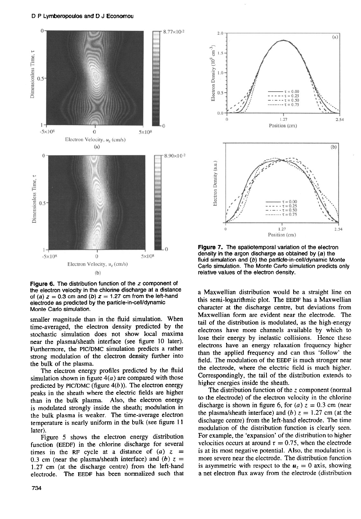

Figure **6.** The distribution function of the *z* component of the electron velocity in the chlorine discharge at **a** distance of (a)  $z = 0.3$  cm and (b)  $z = 1.27$  cm from the left-hand electrode **as** predicted by the **particle-in-cellldynamic**  Monte Carlo simulation.

smaller magnitude than in the fluid simulation. When time-averaged, the electron density predicted by the stochastic simulation does not show local maxima near the plasma/sheath interface (see figure 10 later). Furthermore, the **PIC/DMC** simulation predicts a rather strong modulation of the electron density further into the bulk of the plasma.

The electron energy profiles predicted by the fluid simulation shown in figure *4(a)* are compared with those predicted by  $\text{PIC}/\text{DMC}$  (figure  $4(b)$ ). The electron energy peaks in the sheath where the electric fields are higher than in the bulk plasma. **Also,** the electron energy is modulated strongly inside the sheath; modulation in the bulk plasma is weaker. The time-average electron temperature is nearly uniform in the bulk (see figure 11 later).

Figure 5 shows the electron energy distribution function **(EEDF)** in the chlorine discharge for several times in the RF cycle at a distance of  $(a)$  z = 0.3 cm (near the plasma/sheath interface) and  $(b) z =$  $1.27$  cm (at the discharge centre) from the left-hand electrode. The **EEDF** has been normalized such that



Figure **7.** The spatiotemporal variation of the electron density in the argon discharge as obtained by (a) the fluid simulation and *(b)* the **particle-in-cellldynamic** Monte Carlo simulation. The Monte Carlo simulation predicts only relative values of the electron density.

a Maxwellian distribution would be a straight line on this semi-logarithmic plot. The **EEDF** has a Maxwellian character at the discharge centre, but deviations from Maxwellian form are evident near the electrode. The tail of the distribution is modulated, as the high-energy electrons have more channels available by which to lose their energy by inelastic collisions. Hence these electrons have an energy relaxation frequency higher than the applied frequency and can thus 'follow' the field. The modulation of the **EEDF** is much stronger near the electrode, where the electric field is much higher. Correspondingly, the tail of the distribution extends to higher energies inside the sheath.

The distribution function of the z component (normal to the electrode) of the electron velocity in the chlorine discharge is shown in figure 6, for (a)  $z = 0.3$  cm (near the plasma/sheath interface) and *(b)*  $z = 1.27$  cm (at the discharge centre) from the left-hand electrode. The time modulation of the distribution function is clearly seen. For example, the 'expansion' of the distribution to higher velocities occurs at around  $\tau = 0.75$ , when the electrode is at its most negative potential. **Also,** the modulation is more severe near the electrode. The distribution function is asymmetric with respect to the  $u<sub>z</sub> = 0$  axis, showing a net electron flux away from the electrode (distribution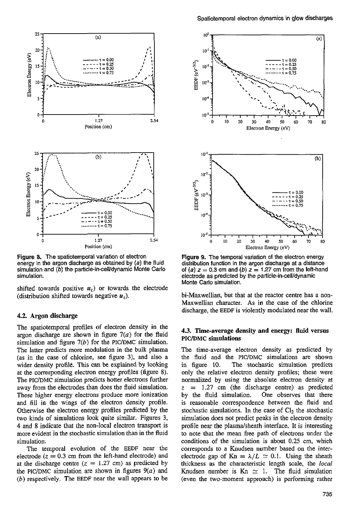

Figure *8.* The spatiotemporal variation of electron energy in the argon discharge as obtained by *(a)* the fluid simulation and (b) the particle-in-cell/dynamic Monte Carlo simulation.

shifted towards positive  $u<sub>z</sub>$ ) or towards the electrode (distribution shifted towards negative  $u_z$ ).

## **4.2. Argon** discharge

The spatiotemporal profiles of electron density in the argon discharge are shown in figure  $7(a)$  for the fluid simulation and figure  $7(b)$  for the PIC/DMC simulation. The latter predicts more modulation in the bulk plasma (as in the case of chlorine, see figure **3).** and also a wider density profile. This can be explained by looking at the corresponding electron energy profiles (figure 8). The PIC/DMC simulation predicts hotter electrons further away from the electrodes than does the fluid simulation. These higher energy electrons produce more ionization and fill in the wings of the electron density profile. Otherwise the electron energy profiles predicted by the two kinds of simulations look quite similar. Figures **3, 4** and 8 indicate that the non-local electron transport is more evident in the stochastic simulation than in the fluid simulation.

The temporal evolution *of* the EEDF near the electrode  $(z = 0.3$  cm from the left-hand electrode) and at the discharge centre  $(z = 1.27 \text{ cm})$  as predicted by the PIC/DMC simulation are shown in figures  $9(a)$  and *(b)* respectively. The EEDF near the wall appears to be



Figure **9.** The temporal variation of the electron energy distribution function in the argon discharge at a distance of (a)  $z = 0.3$  cm and (b)  $z = 1.27$  cm from the left-hand electrode as predicted by the **particle-in-cellldynamic**  Monte Carlo simulation.

bi-Maxwellian, but that **at** the reactor centre has a non-Maxwellian character. **As** in the case of the chlorine discharge, the EEDF is violently modulated near the wall.

# **43.** Time-average density and energy: fluid versus **PIC/DMC** simulations

The time-average electron density as predicted by the fluid and the PIC/DMC simulations are shown in figure 10. The stochastic simulation predicts only the relative electron density profiles; these were normalized by using the absolute electron density at  $z = 1.27$  cm (the discharge centre) as predicted<br>by the fluid simulation. One observes that there One observes that there is reasonable correspondence between the fluid and stochastic simulations. In the case of  $Cl<sub>2</sub>$  the stochastic simulation does not predict peaks in the electron density profile near the plasma/sheath interface. It is interesting to note that the mean free path of electrons under the conditions of the simulation is about 0.25 cm, which corresponds to a Knudsen number based on the interelectrode gap of  $Kn = \lambda/L \simeq 0.1$ . Using the sheath thickness as the characteristic length scale, the *local*  Knudsen number is  $Kn \simeq 1$ . The fluid simulation (even the two-moment approach) is performing rather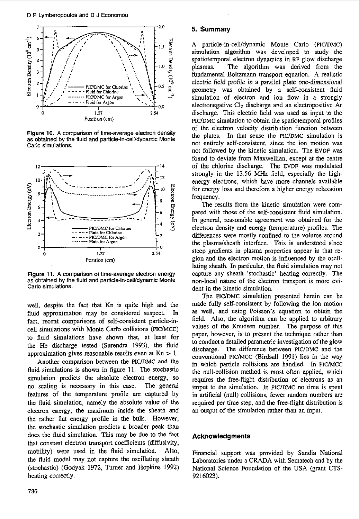

Figure **10. A** comparison of time-average electron density as obtained by the fluid and particle-in-cell/dynamic Monte Carlo simulations.



Figure **11. A** comparison of time-average electron energy as obtained by the fluid and particle-in-celvdynamic Monte Carlo simulations.

well, despite the fact that Kn is quite high and the fluid approximation may be considered suspect. fact, recent comparisons of self-consistent particle-incell simulations with Monte Carlo collisions (PICYMCC) to fluid simulations have shown that, at least **for**  the He discharge tested (Surendra 1993), the fluid approximation gives reasonable results even at  $Kn > 1$ .

Another comparison between the PIC/DMC and the fluid simulations is shown in figure 11. The stochastic simulation predicts the absolute electron energy, so no scaling is necessary in this case. The general features of the temperature profile are captured by the fluid simulation, namely the absolute value of the electron energy, the maximum inside the sheath and the rather flat energy profile in the bulk. However, the stochastic simulation predicts a broader peak than does the fluid simulation. This may be due to the fact that constant electron transport coefficients (diffusivity, mobility) were used in the fluid simulation. Also, the fluid model may not capture the oscillating sheath (stochastic) (Godyak 1972, Turner and Hopkins 1992) heating correctly.

# *5.* **Summary**

A particle-in-cell/dynamic Monte Carlo (PIC/DMC) simulation algorithm was developed to study the spatiotemporal electron dynamics in **RF** glow discharge plasmas. The algorithm was derived from the fundamental Boltzmann transport equation. **A** realistic electric field profile in a parallel plate one-dimensional geometry was obtained by a self-consistent fluid simulation of electron and ion flow in a strongly electronegative  $Cl<sub>2</sub>$  discharge and an electropositive Ar discharge. This electric field was used as input to the PICYDMC simulation to obtain the spatiotemporal profiles of the electron velocity distribution function between the plates. In that sense the PIC/DMC simulation is not entirely self-consistent, since the ion motion was not followed by the kinetic simulation. The EVDF was found to deviate from Maxwellian, except at the centre of the chlorine discharge. The EVDF was modulated strongly in the 13.56 **MHz** field, especially the highenergy electrons, which have more channels available for energy loss and therefore a higher energy relaxation frequency.

The results from the kinetic simulation were compared with those of the self-consistent fluid simulation. In general, reasonable agreement was obtained for the electron density and energy (temperature) profiles. The differences were mostly confined to the volume around the plasmalsheath interface. This is understood since steep gradients in plasma properties appear in that region and the electron motion is influenced by the oscillating sheath. In particular, the fluid simulation may not capture any sheath 'stochastic' heating correctly, The non-local nature of the electron transport is more evident in the kinetic simulation.

The PICYDMC simulation presented herein can be made fully self-consistent by following the ion motion as well, and using Poisson's equation to obtain the field. Also, the algorithm can be applied to arbitrary values of the Knudsen number. The purpose of this paper, however, is to present the technique rather than to conduct a detailed parametric investigation of the glow discharge. The difference between PIC/DMC and the conventional PIC/MCC (Birdsall 1991) lies in the way in which particle collisions are handled. In PIC/MCC the null-collision method is most often applied, which requires the free-flight distribution **of** electrons as an imput to the simulation. In PIC/DMC no time is spent in artificial (null) collisions, fewer random numbers are required per time step, and the free-flight distribution is an output of the simulation rather than an input.

# **Acknowledgments**

Financial support was provided by Sandia National Laboratories under a CRADA with Sematech and by the National Science Foundation of the USA (grant CTS-9216023).